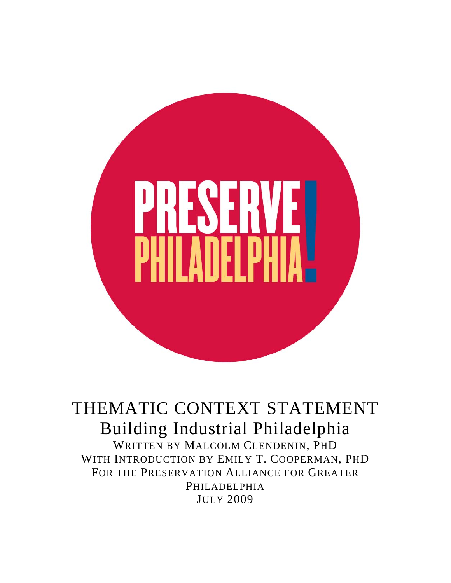

THEMATIC CONTEXT STATEMENT Building Industrial Philadelphia WRITTEN BY MALCOLM CLENDENIN, PHD WITH INTRODUCTION BY EMILY T. COOPERMAN, PHD FOR THE PRESERVATION ALLIANCE FOR GREATER PHILADELPHIA JULY 2009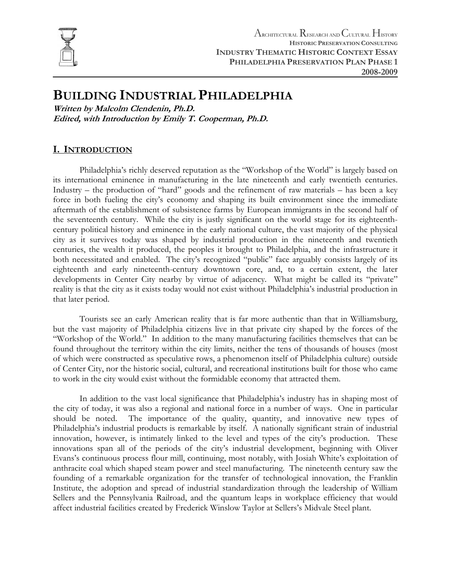

# **BUILDING INDUSTRIAL PHILADELPHIA**

**Written by Malcolm Clendenin, Ph.D. Edited, with Introduction by Emily T. Cooperman, Ph.D.** 

# **I. INTRODUCTION**

Philadelphia's richly deserved reputation as the "Workshop of the World" is largely based on its international eminence in manufacturing in the late nineteenth and early twentieth centuries. Industry – the production of "hard" goods and the refinement of raw materials – has been a key force in both fueling the city's economy and shaping its built environment since the immediate aftermath of the establishment of subsistence farms by European immigrants in the second half of the seventeenth century. While the city is justly significant on the world stage for its eighteenthcentury political history and eminence in the early national culture, the vast majority of the physical city as it survives today was shaped by industrial production in the nineteenth and twentieth centuries, the wealth it produced, the peoples it brought to Philadelphia, and the infrastructure it both necessitated and enabled. The city's recognized "public" face arguably consists largely of its eighteenth and early nineteenth-century downtown core, and, to a certain extent, the later developments in Center City nearby by virtue of adjacency. What might be called its "private" reality is that the city as it exists today would not exist without Philadelphia's industrial production in that later period.

Tourists see an early American reality that is far more authentic than that in Williamsburg, but the vast majority of Philadelphia citizens live in that private city shaped by the forces of the "Workshop of the World." In addition to the many manufacturing facilities themselves that can be found throughout the territory within the city limits, neither the tens of thousands of houses (most of which were constructed as speculative rows, a phenomenon itself of Philadelphia culture) outside of Center City, nor the historic social, cultural, and recreational institutions built for those who came to work in the city would exist without the formidable economy that attracted them.

In addition to the vast local significance that Philadelphia's industry has in shaping most of the city of today, it was also a regional and national force in a number of ways. One in particular should be noted. The importance of the quality, quantity, and innovative new types of Philadelphia's industrial products is remarkable by itself. A nationally significant strain of industrial innovation, however, is intimately linked to the level and types of the city's production. These innovations span all of the periods of the city's industrial development, beginning with Oliver Evans's continuous process flour mill, continuing, most notably, with Josiah White's exploitation of anthracite coal which shaped steam power and steel manufacturing. The nineteenth century saw the founding of a remarkable organization for the transfer of technological innovation, the Franklin Institute, the adoption and spread of industrial standardization through the leadership of William Sellers and the Pennsylvania Railroad, and the quantum leaps in workplace efficiency that would affect industrial facilities created by Frederick Winslow Taylor at Sellers's Midvale Steel plant.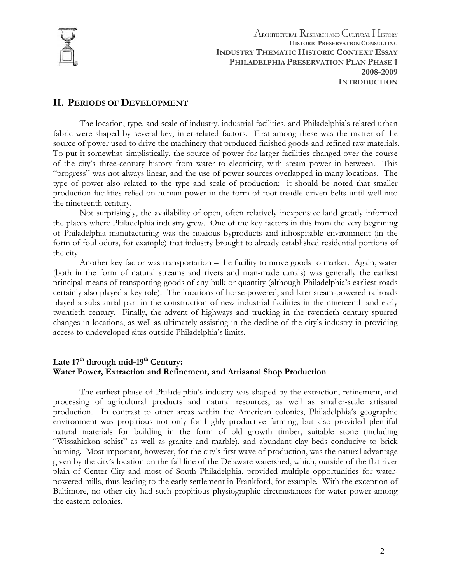

# **II. PERIODS OF DEVELOPMENT**

The location, type, and scale of industry, industrial facilities, and Philadelphia's related urban fabric were shaped by several key, inter-related factors. First among these was the matter of the source of power used to drive the machinery that produced finished goods and refined raw materials. To put it somewhat simplistically, the source of power for larger facilities changed over the course of the city's three-century history from water to electricity, with steam power in between. This "progress" was not always linear, and the use of power sources overlapped in many locations. The type of power also related to the type and scale of production: it should be noted that smaller production facilities relied on human power in the form of foot-treadle driven belts until well into the nineteenth century.

Not surprisingly, the availability of open, often relatively inexpensive land greatly informed the places where Philadelphia industry grew. One of the key factors in this from the very beginning of Philadelphia manufacturing was the noxious byproducts and inhospitable environment (in the form of foul odors, for example) that industry brought to already established residential portions of the city.

Another key factor was transportation – the facility to move goods to market. Again, water (both in the form of natural streams and rivers and man-made canals) was generally the earliest principal means of transporting goods of any bulk or quantity (although Philadelphia's earliest roads certainly also played a key role). The locations of horse-powered, and later steam-powered railroads played a substantial part in the construction of new industrial facilities in the nineteenth and early twentieth century. Finally, the advent of highways and trucking in the twentieth century spurred changes in locations, as well as ultimately assisting in the decline of the city's industry in providing access to undeveloped sites outside Philadelphia's limits.

# Late 17<sup>th</sup> through mid-19<sup>th</sup> Century: **Water Power, Extraction and Refinement, and Artisanal Shop Production**

The earliest phase of Philadelphia's industry was shaped by the extraction, refinement, and processing of agricultural products and natural resources, as well as smaller-scale artisanal production. In contrast to other areas within the American colonies, Philadelphia's geographic environment was propitious not only for highly productive farming, but also provided plentiful natural materials for building in the form of old growth timber, suitable stone (including "Wissahickon schist" as well as granite and marble), and abundant clay beds conducive to brick burning. Most important, however, for the city's first wave of production, was the natural advantage given by the city's location on the fall line of the Delaware watershed, which, outside of the flat river plain of Center City and most of South Philadelphia, provided multiple opportunities for waterpowered mills, thus leading to the early settlement in Frankford, for example. With the exception of Baltimore, no other city had such propitious physiographic circumstances for water power among the eastern colonies.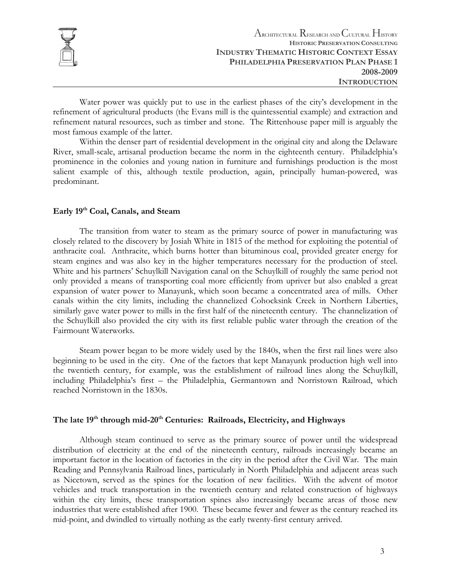

Water power was quickly put to use in the earliest phases of the city's development in the refinement of agricultural products (the Evans mill is the quintessential example) and extraction and refinement natural resources, such as timber and stone. The Rittenhouse paper mill is arguably the most famous example of the latter.

Within the denser part of residential development in the original city and along the Delaware River, small-scale, artisanal production became the norm in the eighteenth century. Philadelphia's prominence in the colonies and young nation in furniture and furnishings production is the most salient example of this, although textile production, again, principally human-powered, was predominant.

# **Early 19th Coal, Canals, and Steam**

The transition from water to steam as the primary source of power in manufacturing was closely related to the discovery by Josiah White in 1815 of the method for exploiting the potential of anthracite coal. Anthracite, which burns hotter than bituminous coal, provided greater energy for steam engines and was also key in the higher temperatures necessary for the production of steel. White and his partners' Schuylkill Navigation canal on the Schuylkill of roughly the same period not only provided a means of transporting coal more efficiently from upriver but also enabled a great expansion of water power to Manayunk, which soon became a concentrated area of mills. Other canals within the city limits, including the channelized Cohocksink Creek in Northern Liberties, similarly gave water power to mills in the first half of the nineteenth century. The channelization of the Schuylkill also provided the city with its first reliable public water through the creation of the Fairmount Waterworks.

Steam power began to be more widely used by the 1840s, when the first rail lines were also beginning to be used in the city. One of the factors that kept Manayunk production high well into the twentieth century, for example, was the establishment of railroad lines along the Schuylkill, including Philadelphia's first – the Philadelphia, Germantown and Norristown Railroad, which reached Norristown in the 1830s.

# The late 19<sup>th</sup> through mid-20<sup>th</sup> Centuries: Railroads, Electricity, and Highways

Although steam continued to serve as the primary source of power until the widespread distribution of electricity at the end of the nineteenth century, railroads increasingly became an important factor in the location of factories in the city in the period after the Civil War. The main Reading and Pennsylvania Railroad lines, particularly in North Philadelphia and adjacent areas such as Nicetown, served as the spines for the location of new facilities. With the advent of motor vehicles and truck transportation in the twentieth century and related construction of highways within the city limits, these transportation spines also increasingly became areas of those new industries that were established after 1900. These became fewer and fewer as the century reached its mid-point, and dwindled to virtually nothing as the early twenty-first century arrived.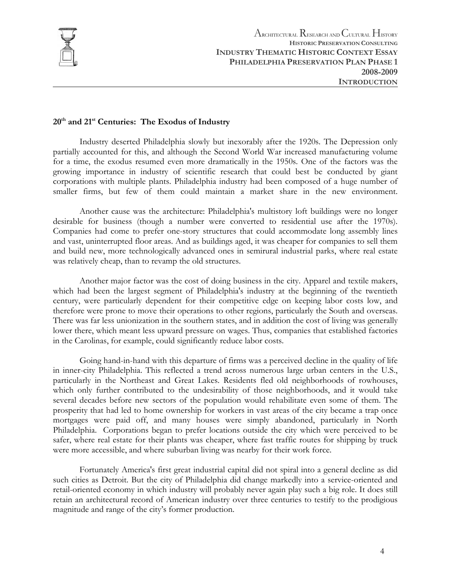

# **20th and 21st Centuries: The Exodus of Industry**

Industry deserted Philadelphia slowly but inexorably after the 1920s. The Depression only partially accounted for this, and although the Second World War increased manufacturing volume for a time, the exodus resumed even more dramatically in the 1950s. One of the factors was the growing importance in industry of scientific research that could best be conducted by giant corporations with multiple plants. Philadelphia industry had been composed of a huge number of smaller firms, but few of them could maintain a market share in the new environment.

Another cause was the architecture: Philadelphia's multistory loft buildings were no longer desirable for business (though a number were converted to residential use after the 1970s). Companies had come to prefer one-story structures that could accommodate long assembly lines and vast, uninterrupted floor areas. And as buildings aged, it was cheaper for companies to sell them and build new, more technologically advanced ones in semirural industrial parks, where real estate was relatively cheap, than to revamp the old structures.

Another major factor was the cost of doing business in the city. Apparel and textile makers, which had been the largest segment of Philadelphia's industry at the beginning of the twentieth century, were particularly dependent for their competitive edge on keeping labor costs low, and therefore were prone to move their operations to other regions, particularly the South and overseas. There was far less unionization in the southern states, and in addition the cost of living was generally lower there, which meant less upward pressure on wages. Thus, companies that established factories in the Carolinas, for example, could significantly reduce labor costs.

Going hand-in-hand with this departure of firms was a perceived decline in the quality of life in inner-city Philadelphia. This reflected a trend across numerous large urban centers in the U.S., particularly in the Northeast and Great Lakes. Residents fled old neighborhoods of rowhouses, which only further contributed to the undesirability of those neighborhoods, and it would take several decades before new sectors of the population would rehabilitate even some of them. The prosperity that had led to home ownership for workers in vast areas of the city became a trap once mortgages were paid off, and many houses were simply abandoned, particularly in North Philadelphia. Corporations began to prefer locations outside the city which were perceived to be safer, where real estate for their plants was cheaper, where fast traffic routes for shipping by truck were more accessible, and where suburban living was nearby for their work force.

Fortunately America's first great industrial capital did not spiral into a general decline as did such cities as Detroit. But the city of Philadelphia did change markedly into a service-oriented and retail-oriented economy in which industry will probably never again play such a big role. It does still retain an architectural record of American industry over three centuries to testify to the prodigious magnitude and range of the city's former production.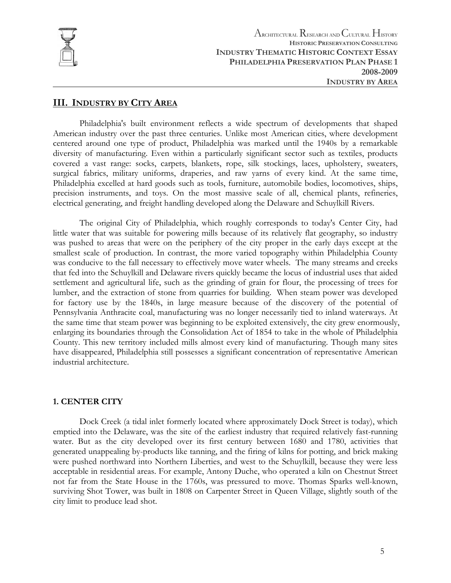

ARCHITECTURAL RESEARCH AND CULTURAL HISTORY **HISTORIC PRESERVATION CONSULTING INDUSTRY THEMATIC HISTORIC CONTEXT ESSAY PHILADELPHIA PRESERVATION PLAN PHASE 1 2008-2009 INDUSTRY BY AREA**

# **III. INDUSTRY BY CITY AREA**

Philadelphia's built environment reflects a wide spectrum of developments that shaped American industry over the past three centuries. Unlike most American cities, where development centered around one type of product, Philadelphia was marked until the 1940s by a remarkable diversity of manufacturing. Even within a particularly significant sector such as textiles, products covered a vast range: socks, carpets, blankets, rope, silk stockings, laces, upholstery, sweaters, surgical fabrics, military uniforms, draperies, and raw yarns of every kind. At the same time, Philadelphia excelled at hard goods such as tools, furniture, automobile bodies, locomotives, ships, precision instruments, and toys. On the most massive scale of all, chemical plants, refineries, electrical generating, and freight handling developed along the Delaware and Schuylkill Rivers.

The original City of Philadelphia, which roughly corresponds to today's Center City, had little water that was suitable for powering mills because of its relatively flat geography, so industry was pushed to areas that were on the periphery of the city proper in the early days except at the smallest scale of production. In contrast, the more varied topography within Philadelphia County was conducive to the fall necessary to effectively move water wheels. The many streams and creeks that fed into the Schuylkill and Delaware rivers quickly became the locus of industrial uses that aided settlement and agricultural life, such as the grinding of grain for flour, the processing of trees for lumber, and the extraction of stone from quarries for building. When steam power was developed for factory use by the 1840s, in large measure because of the discovery of the potential of Pennsylvania Anthracite coal, manufacturing was no longer necessarily tied to inland waterways. At the same time that steam power was beginning to be exploited extensively, the city grew enormously, enlarging its boundaries through the Consolidation Act of 1854 to take in the whole of Philadelphia County. This new territory included mills almost every kind of manufacturing. Though many sites have disappeared, Philadelphia still possesses a significant concentration of representative American industrial architecture.

# **1. CENTER CITY**

Dock Creek (a tidal inlet formerly located where approximately Dock Street is today), which emptied into the Delaware, was the site of the earliest industry that required relatively fast-running water. But as the city developed over its first century between 1680 and 1780, activities that generated unappealing by-products like tanning, and the firing of kilns for potting, and brick making were pushed northward into Northern Liberties, and west to the Schuylkill, because they were less acceptable in residential areas. For example, Antony Duche, who operated a kiln on Chestnut Street not far from the State House in the 1760s, was pressured to move. Thomas Sparks well-known, surviving Shot Tower, was built in 1808 on Carpenter Street in Queen Village, slightly south of the city limit to produce lead shot.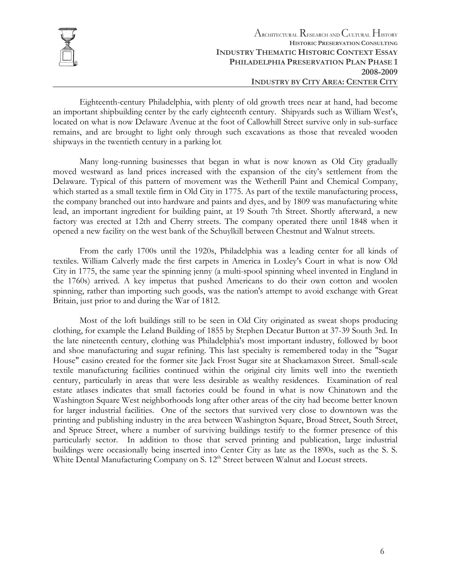

Eighteenth-century Philadelphia, with plenty of old growth trees near at hand, had become an important shipbuilding center by the early eighteenth century. Shipyards such as William West's, located on what is now Delaware Avenue at the foot of Callowhill Street survive only in sub-surface remains, and are brought to light only through such excavations as those that revealed wooden shipways in the twentieth century in a parking lot.

Many long-running businesses that began in what is now known as Old City gradually moved westward as land prices increased with the expansion of the city's settlement from the Delaware. Typical of this pattern of movement was the Wetherill Paint and Chemical Company, which started as a small textile firm in Old City in 1775. As part of the textile manufacturing process, the company branched out into hardware and paints and dyes, and by 1809 was manufacturing white lead, an important ingredient for building paint, at 19 South 7th Street. Shortly afterward, a new factory was erected at 12th and Cherry streets. The company operated there until 1848 when it opened a new facility on the west bank of the Schuylkill between Chestnut and Walnut streets.

From the early 1700s until the 1920s, Philadelphia was a leading center for all kinds of textiles. William Calverly made the first carpets in America in Loxley's Court in what is now Old City in 1775, the same year the spinning jenny (a multi-spool spinning wheel invented in England in the 1760s) arrived. A key impetus that pushed Americans to do their own cotton and woolen spinning, rather than importing such goods, was the nation's attempt to avoid exchange with Great Britain, just prior to and during the War of 1812.

Most of the loft buildings still to be seen in Old City originated as sweat shops producing clothing, for example the Leland Building of 1855 by Stephen Decatur Button at 37-39 South 3rd. In the late nineteenth century, clothing was Philadelphia's most important industry, followed by boot and shoe manufacturing and sugar refining. This last specialty is remembered today in the "Sugar House" casino created for the former site Jack Frost Sugar site at Shackamaxon Street. Small-scale textile manufacturing facilities continued within the original city limits well into the twentieth century, particularly in areas that were less desirable as wealthy residences. Examination of real estate atlases indicates that small factories could be found in what is now Chinatown and the Washington Square West neighborhoods long after other areas of the city had become better known for larger industrial facilities. One of the sectors that survived very close to downtown was the printing and publishing industry in the area between Washington Square, Broad Street, South Street, and Spruce Street, where a number of surviving buildings testify to the former presence of this particularly sector. In addition to those that served printing and publication, large industrial buildings were occasionally being inserted into Center City as late as the 1890s, such as the S. S. White Dental Manufacturing Company on S. 12<sup>th</sup> Street between Walnut and Locust streets.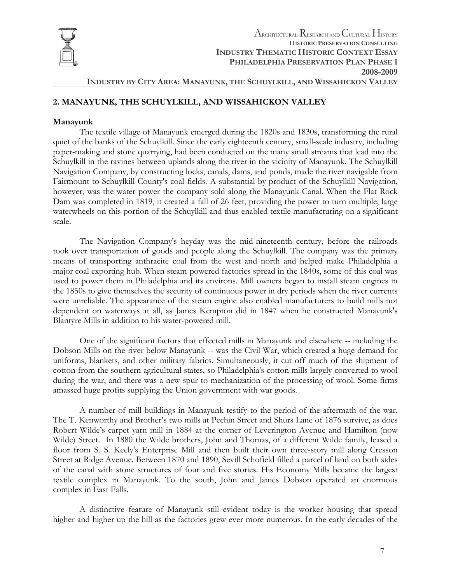

# **2. MANAYUNK, THE SCHUYLKILL, AND WISSAHICKON VALLEY**

#### **Manayunk**

The textile village of Manayunk emerged during the 1820s and 1830s, transforming the rural quiet of the banks of the Schuylkill. Since the early eighteenth century, small-scale industry, including paper-making and stone quarrying, had been conducted on the many small streams that lead into the Schuylkill in the ravines between uplands along the river in the vicinity of Manayunk. The Schuylkill Navigation Company, by constructing locks, canals, dams, and ponds, made the river navigable from Fairmount to Schuylkill County's coal fields. A substantial by-product of the Schuylkill Navigation, however, was the water power the company sold along the Manayunk Canal. When the Flat Rock Dam was completed in 1819, it created a fall of 26 feet, providing the power to turn multiple, large waterwheels on this portion of the Schuylkill and thus enabled textile manufacturing on a significant scale.

The Navigation Company's heyday was the mid-nineteenth century, before the railroads took over transportation of goods and people along the Schuylkill. The company was the primary means of transporting anthracite coal from the west and north and helped make Philadelphia a major coal exporting hub. When steam-powered factories spread in the 1840s, some of this coal was used to power them in Philadelphia and its environs. Mill owners began to install steam engines in the 1850s to give themselves the security of continuous power in dry periods when the river currents were unreliable. The appearance of the steam engine also enabled manufacturers to build mills not dependent on waterways at all, as James Kempton did in 1847 when he constructed Manayunk's Blantyre Mills in addition to his water-powered mill.

One of the significant factors that effected mills in Manayunk and elsewhere -- including the Dobson Mills on the river below Manayunk -- was the Civil War, which created a huge demand for uniforms, blankets, and other military fabrics. Simultaneously, it cut off much of the shipment of cotton from the southern agricultural states, so Philadelphia's cotton mills largely converted to wool during the war, and there was a new spur to mechanization of the processing of wool. Some firms amassed huge profits supplying the Union government with war goods.

A number of mill buildings in Manayunk testify to the period of the aftermath of the war. The T. Kenworthy and Brother's two mills at Pechin Street and Shurs Lane of 1876 survive, as does Robert Wilde's carpet yarn mill in 1884 at the corner of Leverington Avenue and Hamilton (now Wilde) Street. In 1880 the Wilde brothers, John and Thomas, of a different Wilde family, leased a floor from S. S. Keely's Enterprise Mill and then built their own three-story mill along Cresson Street at Ridge Avenue. Between 1870 and 1890, Sevill Schofield filled a parcel of land on both sides of the canal with stone structures of four and five stories. His Economy Mills became the largest textile complex in Manayunk. To the south, John and James Dobson operated an enormous complex in East Falls.

A distinctive feature of Manayunk still evident today is the worker housing that spread higher and higher up the hill as the factories grew ever more numerous. In the early decades of the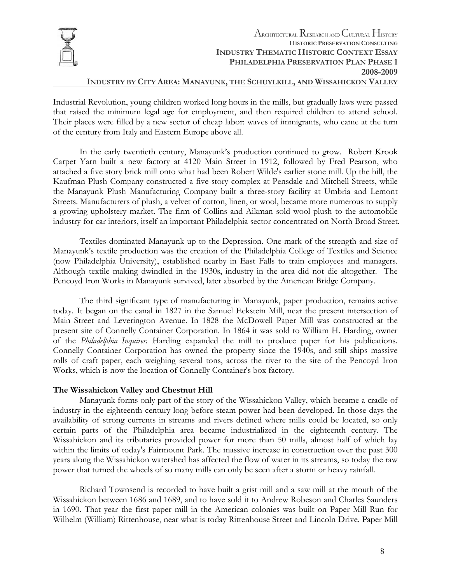

# **INDUSTRY BY CITY AREA: MANAYUNK, THE SCHUYLKILL, AND WISSAHICKON VALLEY**

Industrial Revolution, young children worked long hours in the mills, but gradually laws were passed that raised the minimum legal age for employment, and then required children to attend school. Their places were filled by a new sector of cheap labor: waves of immigrants, who came at the turn of the century from Italy and Eastern Europe above all.

In the early twentieth century, Manayunk's production continued to grow. Robert Krook Carpet Yarn built a new factory at 4120 Main Street in 1912, followed by Fred Pearson, who attached a five story brick mill onto what had been Robert Wilde's earlier stone mill. Up the hill, the Kaufman Plush Company constructed a five-story complex at Pensdale and Mitchell Streets, while the Manayunk Plush Manufacturing Company built a three-story facility at Umbria and Lemont Streets. Manufacturers of plush, a velvet of cotton, linen, or wool, became more numerous to supply a growing upholstery market. The firm of Collins and Aikman sold wool plush to the automobile industry for car interiors, itself an important Philadelphia sector concentrated on North Broad Street.

Textiles dominated Manayunk up to the Depression. One mark of the strength and size of Manayunk's textile production was the creation of the Philadelphia College of Textiles and Science (now Philadelphia University), established nearby in East Falls to train employees and managers. Although textile making dwindled in the 1930s, industry in the area did not die altogether. The Pencoyd Iron Works in Manayunk survived, later absorbed by the American Bridge Company.

The third significant type of manufacturing in Manayunk, paper production, remains active today. It began on the canal in 1827 in the Samuel Eckstein Mill, near the present intersection of Main Street and Leverington Avenue. In 1828 the McDowell Paper Mill was constructed at the present site of Connelly Container Corporation. In 1864 it was sold to William H. Harding, owner of the *Philadelphia Inquirer.* Harding expanded the mill to produce paper for his publications. Connelly Container Corporation has owned the property since the 1940s, and still ships massive rolls of craft paper, each weighing several tons, across the river to the site of the Pencoyd Iron Works, which is now the location of Connelly Container's box factory.

#### **The Wissahickon Valley and Chestnut Hill**

Manayunk forms only part of the story of the Wissahickon Valley, which became a cradle of industry in the eighteenth century long before steam power had been developed. In those days the availability of strong currents in streams and rivers defined where mills could be located, so only certain parts of the Philadelphia area became industrialized in the eighteenth century. The Wissahickon and its tributaries provided power for more than 50 mills, almost half of which lay within the limits of today's Fairmount Park. The massive increase in construction over the past 300 years along the Wissahickon watershed has affected the flow of water in its streams, so today the raw power that turned the wheels of so many mills can only be seen after a storm or heavy rainfall.

Richard Townsend is recorded to have built a grist mill and a saw mill at the mouth of the Wissahickon between 1686 and 1689, and to have sold it to Andrew Robeson and Charles Saunders in 1690. That year the first paper mill in the American colonies was built on Paper Mill Run for Wilhelm (William) Rittenhouse, near what is today Rittenhouse Street and Lincoln Drive. Paper Mill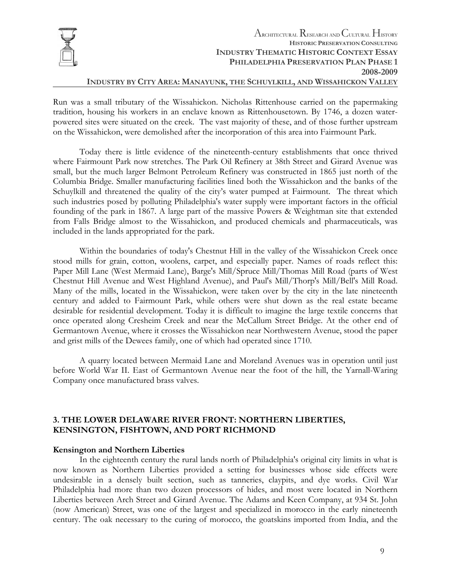

# **INDUSTRY BY CITY AREA: MANAYUNK, THE SCHUYLKILL, AND WISSAHICKON VALLEY**

Run was a small tributary of the Wissahickon. Nicholas Rittenhouse carried on the papermaking tradition, housing his workers in an enclave known as Rittenhousetown. By 1746, a dozen waterpowered sites were situated on the creek. The vast majority of these, and of those further upstream on the Wissahickon, were demolished after the incorporation of this area into Fairmount Park.

Today there is little evidence of the nineteenth-century establishments that once thrived where Fairmount Park now stretches. The Park Oil Refinery at 38th Street and Girard Avenue was small, but the much larger Belmont Petroleum Refinery was constructed in 1865 just north of the Columbia Bridge. Smaller manufacturing facilities lined both the Wissahickon and the banks of the Schuylkill and threatened the quality of the city's water pumped at Fairmount. The threat which such industries posed by polluting Philadelphia's water supply were important factors in the official founding of the park in 1867. A large part of the massive Powers & Weightman site that extended from Falls Bridge almost to the Wissahickon, and produced chemicals and pharmaceuticals, was included in the lands appropriated for the park.

Within the boundaries of today's Chestnut Hill in the valley of the Wissahickon Creek once stood mills for grain, cotton, woolens, carpet, and especially paper. Names of roads reflect this: Paper Mill Lane (West Mermaid Lane), Barge's Mill/Spruce Mill/Thomas Mill Road (parts of West Chestnut Hill Avenue and West Highland Avenue), and Paul's Mill/Thorp's Mill/Bell's Mill Road. Many of the mills, located in the Wissahickon, were taken over by the city in the late nineteenth century and added to Fairmount Park, while others were shut down as the real estate became desirable for residential development. Today it is difficult to imagine the large textile concerns that once operated along Cresheim Creek and near the McCallum Street Bridge. At the other end of Germantown Avenue, where it crosses the Wissahickon near Northwestern Avenue, stood the paper and grist mills of the Dewees family, one of which had operated since 1710.

A quarry located between Mermaid Lane and Moreland Avenues was in operation until just before World War II. East of Germantown Avenue near the foot of the hill, the Yarnall-Waring Company once manufactured brass valves.

# **3. THE LOWER DELAWARE RIVER FRONT: NORTHERN LIBERTIES, KENSINGTON, FISHTOWN, AND PORT RICHMOND**

#### **Kensington and Northern Liberties**

In the eighteenth century the rural lands north of Philadelphia's original city limits in what is now known as Northern Liberties provided a setting for businesses whose side effects were undesirable in a densely built section, such as tanneries, claypits, and dye works. Civil War Philadelphia had more than two dozen processors of hides, and most were located in Northern Liberties between Arch Street and Girard Avenue. The Adams and Keen Company, at 934 St. John (now American) Street, was one of the largest and specialized in morocco in the early nineteenth century. The oak necessary to the curing of morocco, the goatskins imported from India, and the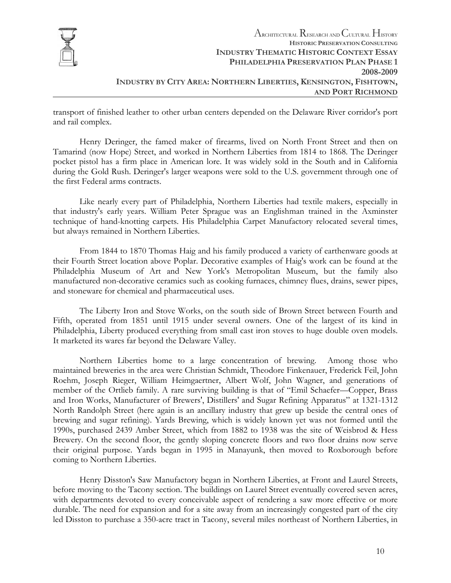

transport of finished leather to other urban centers depended on the Delaware River corridor's port and rail complex.

Henry Deringer, the famed maker of firearms, lived on North Front Street and then on Tamarind (now Hope) Street, and worked in Northern Liberties from 1814 to 1868. The Deringer pocket pistol has a firm place in American lore. It was widely sold in the South and in California during the Gold Rush. Deringer's larger weapons were sold to the U.S. government through one of the first Federal arms contracts.

Like nearly every part of Philadelphia, Northern Liberties had textile makers, especially in that industry's early years. William Peter Sprague was an Englishman trained in the Axminster technique of hand-knotting carpets. His Philadelphia Carpet Manufactory relocated several times, but always remained in Northern Liberties.

From 1844 to 1870 Thomas Haig and his family produced a variety of earthenware goods at their Fourth Street location above Poplar. Decorative examples of Haig's work can be found at the Philadelphia Museum of Art and New York's Metropolitan Museum, but the family also manufactured non-decorative ceramics such as cooking furnaces, chimney flues, drains, sewer pipes, and stoneware for chemical and pharmaceutical uses.

The Liberty Iron and Stove Works, on the south side of Brown Street between Fourth and Fifth, operated from 1851 until 1915 under several owners. One of the largest of its kind in Philadelphia, Liberty produced everything from small cast iron stoves to huge double oven models. It marketed its wares far beyond the Delaware Valley.

Northern Liberties home to a large concentration of brewing. Among those who maintained breweries in the area were Christian Schmidt, Theodore Finkenauer, Frederick Feil, John Roehm, Joseph Rieger, William Heimgaertner, Albert Wolf, John Wagner, and generations of member of the Ortlieb family. A rare surviving building is that of "Emil Schaefer—Copper, Brass and Iron Works, Manufacturer of Brewers', Distillers' and Sugar Refining Apparatus" at 1321-1312 North Randolph Street (here again is an ancillary industry that grew up beside the central ones of brewing and sugar refining). Yards Brewing, which is widely known yet was not formed until the 1990s, purchased 2439 Amber Street, which from 1882 to 1938 was the site of Weisbrod & Hess Brewery. On the second floor, the gently sloping concrete floors and two floor drains now serve their original purpose. Yards began in 1995 in Manayunk, then moved to Roxborough before coming to Northern Liberties.

Henry Disston's Saw Manufactory began in Northern Liberties, at Front and Laurel Streets, before moving to the Tacony section. The buildings on Laurel Street eventually covered seven acres, with departments devoted to every conceivable aspect of rendering a saw more effective or more durable*.* The need for expansion and for a site away from an increasingly congested part of the city led Disston to purchase a 350-acre tract in Tacony, several miles northeast of Northern Liberties, in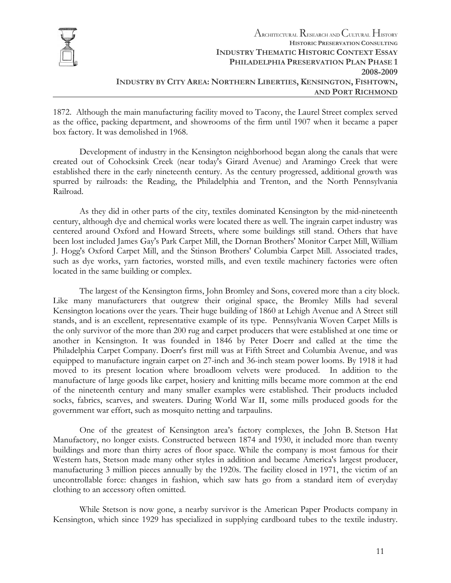

1872. Although the main manufacturing facility moved to Tacony, the Laurel Street complex served as the office, packing department, and showrooms of the firm until 1907 when it became a paper box factory. It was demolished in 1968.

Development of industry in the Kensington neighborhood began along the canals that were created out of Cohocksink Creek (near today's Girard Avenue) and Aramingo Creek that were established there in the early nineteenth century. As the century progressed, additional growth was spurred by railroads: the Reading, the Philadelphia and Trenton, and the North Pennsylvania Railroad.

As they did in other parts of the city, textiles dominated Kensington by the mid-nineteenth century, although dye and chemical works were located there as well. The ingrain carpet industry was centered around Oxford and Howard Streets, where some buildings still stand. Others that have been lost included James Gay's Park Carpet Mill, the Dornan Brothers' Monitor Carpet Mill, William J. Hogg's Oxford Carpet Mill, and the Stinson Brothers' Columbia Carpet Mill. Associated trades, such as dye works, yarn factories, worsted mills, and even textile machinery factories were often located in the same building or complex.

The largest of the Kensington firms, John Bromley and Sons, covered more than a city block. Like many manufacturers that outgrew their original space, the Bromley Mills had several Kensington locations over the years. Their huge building of 1860 at Lehigh Avenue and A Street still stands, and is an excellent, representative example of its type. Pennsylvania Woven Carpet Mills is the only survivor of the more than 200 rug and carpet producers that were established at one time or another in Kensington. It was founded in 1846 by Peter Doerr and called at the time the Philadelphia Carpet Company. Doerr's first mill was at Fifth Street and Columbia Avenue, and was equipped to manufacture ingrain carpet on 27-inch and 36-inch steam power looms. By 1918 it had moved to its present location where broadloom velvets were produced. In addition to the manufacture of large goods like carpet, hosiery and knitting mills became more common at the end of the nineteenth century and many smaller examples were established. Their products included socks, fabrics, scarves, and sweaters. During World War II, some mills produced goods for the government war effort, such as mosquito netting and tarpaulins.

One of the greatest of Kensington area's factory complexes, the John B. Stetson Hat Manufactory, no longer exists. Constructed between 1874 and 1930, it included more than twenty buildings and more than thirty acres of floor space. While the company is most famous for their Western hats, Stetson made many other styles in addition and became America's largest producer, manufacturing 3 million pieces annually by the 1920s. The facility closed in 1971, the victim of an uncontrollable force: changes in fashion, which saw hats go from a standard item of everyday clothing to an accessory often omitted.

While Stetson is now gone, a nearby survivor is the American Paper Products company in Kensington, which since 1929 has specialized in supplying cardboard tubes to the textile industry.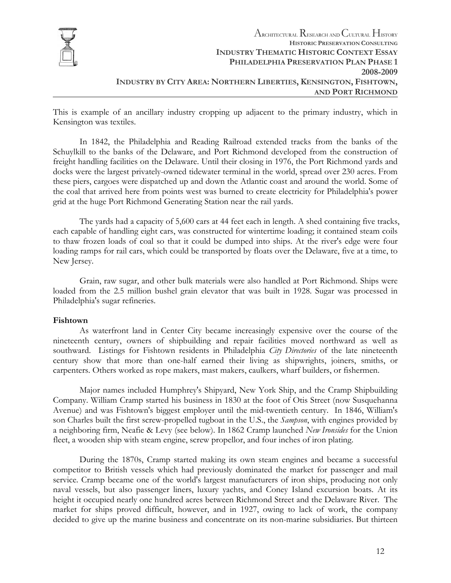

This is example of an ancillary industry cropping up adjacent to the primary industry, which in Kensington was textiles.

In 1842, the Philadelphia and Reading Railroad extended tracks from the banks of the Schuylkill to the banks of the Delaware, and Port Richmond developed from the construction of freight handling facilities on the Delaware. Until their closing in 1976, the Port Richmond yards and docks were the largest privately-owned tidewater terminal in the world, spread over 230 acres. From these piers, cargoes were dispatched up and down the Atlantic coast and around the world. Some of the coal that arrived here from points west was burned to create electricity for Philadelphia's power grid at the huge Port Richmond Generating Station near the rail yards.

The yards had a capacity of 5,600 cars at 44 feet each in length. A shed containing five tracks, each capable of handling eight cars, was constructed for wintertime loading; it contained steam coils to thaw frozen loads of coal so that it could be dumped into ships. At the river's edge were four loading ramps for rail cars, which could be transported by floats over the Delaware, five at a time, to New Jersey.

Grain, raw sugar, and other bulk materials were also handled at Port Richmond. Ships were loaded from the 2.5 million bushel grain elevator that was built in 1928. Sugar was processed in Philadelphia's sugar refineries.

#### **Fishtown**

As waterfront land in Center City became increasingly expensive over the course of the nineteenth century, owners of shipbuilding and repair facilities moved northward as well as southward. Listings for Fishtown residents in Philadelphia *City Directories* of the late nineteenth century show that more than one-half earned their living as shipwrights, joiners, smiths, or carpenters. Others worked as rope makers, mast makers, caulkers, wharf builders, or fishermen.

Major names included Humphrey's Shipyard, New York Ship, and the Cramp Shipbuilding Company. William Cramp started his business in 1830 at the foot of Otis Street (now Susquehanna Avenue) and was Fishtown's biggest employer until the mid-twentieth century. In 1846, William's son Charles built the first screw-propelled tugboat in the U.S., the *Sampson*, with engines provided by a neighboring firm, Neafie & Levy (see below). In 1862 Cramp launched *New Ironsides* for the Union fleet, a wooden ship with steam engine, screw propellor, and four inches of iron plating.

During the 1870s, Cramp started making its own steam engines and became a successful competitor to British vessels which had previously dominated the market for passenger and mail service. Cramp became one of the world's largest manufacturers of iron ships, producing not only naval vessels, but also passenger liners, luxury yachts, and Coney Island excursion boats. At its height it occupied nearly one hundred acres between Richmond Street and the Delaware River. The market for ships proved difficult, however, and in 1927, owing to lack of work, the company decided to give up the marine business and concentrate on its non-marine subsidiaries. But thirteen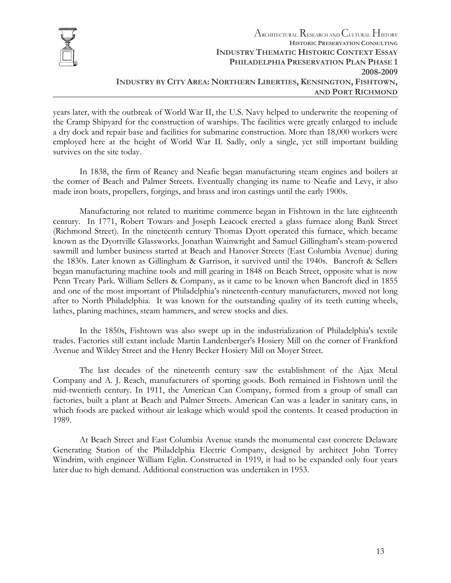

years later, with the outbreak of World War II, the U.S. Navy helped to underwrite the reopening of the Cramp Shipyard for the construction of warships. The facilities were greatly enlarged to include a dry dock and repair base and facilities for submarine construction. More than 18,000 workers were employed here at the height of World War II. Sadly, only a single, yet still important building survives on the site today.

In 1838, the firm of Reaney and Neafie began manufacturing steam engines and boilers at the corner of Beach and Palmer Streets. Eventually changing its name to Neafie and Levy, it also made iron boats, propellers, forgings, and brass and iron castings until the early 1900s.

Manufacturing not related to maritime commerce began in Fishtown in the late eighteenth century. In 1771, Robert Towars and Joseph Leacock erected a glass furnace along Bank Street (Richmond Street). In the nineteenth century Thomas Dyott operated this furnace, which became known as the Dyottville Glassworks. Jonathan Wainwright and Samuel Gillingham's steam-powered sawmill and lumber business started at Beach and Hanover Streets (East Columbia Avenue) during the 1830s. Later known as Gillingham & Garrison, it survived until the 1940s. Bancroft & Sellers began manufacturing machine tools and mill gearing in 1848 on Beach Street, opposite what is now Penn Treaty Park. William Sellers & Company, as it came to be known when Bancroft died in 1855 and one of the most important of Philadelphia's nineteenth-century manufacturers, moved not long after to North Philadelphia. It was known for the outstanding quality of its teeth cutting wheels, lathes, planing machines, steam hammers, and screw stocks and dies.

In the 1850s, Fishtown was also swept up in the industrialization of Philadelphia's textile trades. Factories still extant include Martin Landenberger's Hosiery Mill on the corner of Frankford Avenue and Wildey Street and the Henry Becker Hosiery Mill on Moyer Street.

The last decades of the nineteenth century saw the establishment of the Ajax Metal Company and A. J. Reach, manufacturers of sporting goods. Both remained in Fishtown until the mid-twentieth century. In 1911, the American Can Company, formed from a group of small can factories, built a plant at Beach and Palmer Streets. American Can was a leader in sanitary cans, in which foods are packed without air leakage which would spoil the contents. It ceased production in 1989.

At Beach Street and East Columbia Avenue stands the monumental cast concrete Delaware Generating Station of the Philadelphia Electric Company, designed by architect John Torrey Windrim, with engineer William Eglin. Constructed in 1919, it had to be expanded only four years later due to high demand. Additional construction was undertaken in 1953.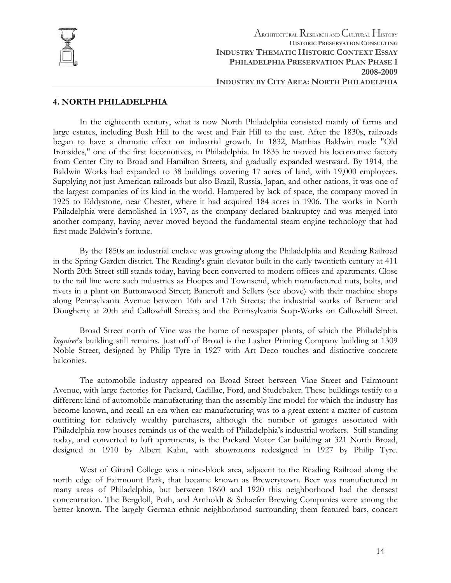

#### **4. NORTH PHILADELPHIA**

In the eighteenth century, what is now North Philadelphia consisted mainly of farms and large estates, including Bush Hill to the west and Fair Hill to the east. After the 1830s, railroads began to have a dramatic effect on industrial growth. In 1832, Matthias Baldwin made "Old Ironsides," one of the first locomotives, in Philadelphia. In 1835 he moved his locomotive factory from Center City to Broad and Hamilton Streets, and gradually expanded westward. By 1914, the Baldwin Works had expanded to 38 buildings covering 17 acres of land, with 19,000 employees. Supplying not just American railroads but also Brazil, Russia, Japan, and other nations, it was one of the largest companies of its kind in the world. Hampered by lack of space, the company moved in 1925 to Eddystone, near Chester, where it had acquired 184 acres in 1906. The works in North Philadelphia were demolished in 1937, as the company declared bankruptcy and was merged into another company, having never moved beyond the fundamental steam engine technology that had first made Baldwin's fortune.

By the 1850s an industrial enclave was growing along the Philadelphia and Reading Railroad in the Spring Garden district. The Reading's grain elevator built in the early twentieth century at 411 North 20th Street still stands today, having been converted to modern offices and apartments. Close to the rail line were such industries as Hoopes and Townsend, which manufactured nuts, bolts, and rivets in a plant on Buttonwood Street; Bancroft and Sellers (see above) with their machine shops along Pennsylvania Avenue between 16th and 17th Streets; the industrial works of Bement and Dougherty at 20th and Callowhill Streets; and the Pennsylvania Soap-Works on Callowhill Street.

Broad Street north of Vine was the home of newspaper plants, of which the Philadelphia *Inquirer*'s building still remains. Just off of Broad is the Lasher Printing Company building at 1309 Noble Street, designed by Philip Tyre in 1927 with Art Deco touches and distinctive concrete balconies.

The automobile industry appeared on Broad Street between Vine Street and Fairmount Avenue, with large factories for Packard, Cadillac, Ford, and Studebaker. These buildings testify to a different kind of automobile manufacturing than the assembly line model for which the industry has become known, and recall an era when car manufacturing was to a great extent a matter of custom outfitting for relatively wealthy purchasers, although the number of garages associated with Philadelphia row houses reminds us of the wealth of Philadelphia's industrial workers. Still standing today, and converted to loft apartments, is the Packard Motor Car building at 321 North Broad, designed in 1910 by Albert Kahn, with showrooms redesigned in 1927 by Philip Tyre.

West of Girard College was a nine-block area, adjacent to the Reading Railroad along the north edge of Fairmount Park, that became known as Brewerytown. Beer was manufactured in many areas of Philadelphia, but between 1860 and 1920 this neighborhood had the densest concentration. The Bergdoll, Poth, and Arnholdt & Schaefer Brewing Companies were among the better known. The largely German ethnic neighborhood surrounding them featured bars, concert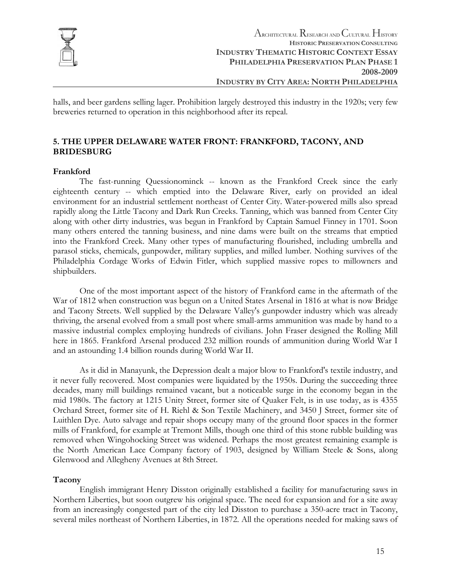

halls, and beer gardens selling lager. Prohibition largely destroyed this industry in the 1920s; very few breweries returned to operation in this neighborhood after its repeal.

# **5. THE UPPER DELAWARE WATER FRONT: FRANKFORD, TACONY, AND BRIDESBURG**

#### **Frankford**

The fast-running Quessionominck -- known as the Frankford Creek since the early eighteenth century -- which emptied into the Delaware River, early on provided an ideal environment for an industrial settlement northeast of Center City. Water-powered mills also spread rapidly along the Little Tacony and Dark Run Creeks. Tanning, which was banned from Center City along with other dirty industries, was begun in Frankford by Captain Samuel Finney in 1701. Soon many others entered the tanning business, and nine dams were built on the streams that emptied into the Frankford Creek. Many other types of manufacturing flourished, including umbrella and parasol sticks, chemicals, gunpowder, military supplies, and milled lumber. Nothing survives of the Philadelphia Cordage Works of Edwin Fitler, which supplied massive ropes to millowners and shipbuilders.

One of the most important aspect of the history of Frankford came in the aftermath of the War of 1812 when construction was begun on a United States Arsenal in 1816 at what is now Bridge and Tacony Streets. Well supplied by the Delaware Valley's gunpowder industry which was already thriving, the arsenal evolved from a small post where small-arms ammunition was made by hand to a massive industrial complex employing hundreds of civilians. John Fraser designed the Rolling Mill here in 1865. Frankford Arsenal produced 232 million rounds of ammunition during World War I and an astounding 1.4 billion rounds during World War II.

As it did in Manayunk, the Depression dealt a major blow to Frankford's textile industry, and it never fully recovered. Most companies were liquidated by the 1950s. During the succeeding three decades, many mill buildings remained vacant, but a noticeable surge in the economy began in the mid 1980s. The factory at 1215 Unity Street, former site of Quaker Felt, is in use today, as is 4355 Orchard Street, former site of H. Riehl & Son Textile Machinery, and 3450 J Street, former site of Luithlen Dye. Auto salvage and repair shops occupy many of the ground floor spaces in the former mills of Frankford, for example at [Tremont Mills](http://workshopoftheworld.com/frankford/tremont.html), though one third of this stone rubble building was removed when Wingohocking Street was widened. Perhaps the most greatest remaining example is the North American Lace Company factory of 1903, designed by William Steele & Sons, along Glenwood and Allegheny Avenues at 8th Street.

# **Tacony**

English immigrant Henry Disston originally established a facility for manufacturing saws in Northern Liberties, but soon outgrew his original space. The need for expansion and for a site away from an increasingly congested part of the city led Disston to purchase a 350-acre tract in Tacony, several miles northeast of Northern Liberties, in 1872. All the operations needed for making saws of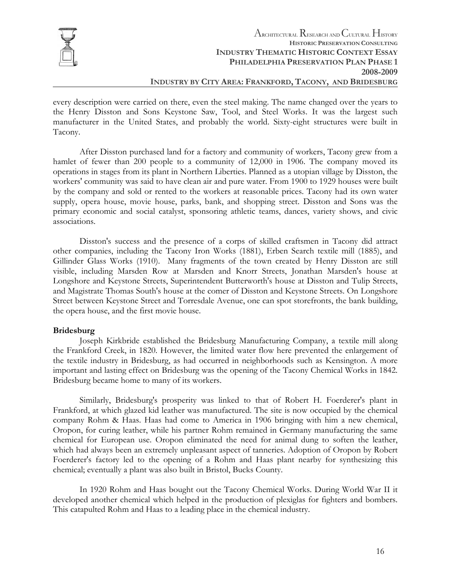

every description were carried on there, even the steel making. The name changed over the years to the Henry Disston and Sons Keystone Saw, Tool, and Steel Works. It was the largest such manufacturer in the United States, and probably the world. Sixty-eight structures were built in Tacony.

After Disston purchased land for a factory and community of workers, Tacony grew from a hamlet of fewer than 200 people to a community of 12,000 in 1906. The company moved its operations in stages from its plant in Northern Liberties. Planned as a utopian village by Disston, the workers' community was said to have clean air and pure water. From 1900 to 1929 houses were built by the company and sold or rented to the workers at reasonable prices. Tacony had its own water supply, opera house, movie house, parks, bank, and shopping street. Disston and Sons was the primary economic and social catalyst, sponsoring athletic teams, dances, variety shows, and civic associations.

Disston's success and the presence of a corps of skilled craftsmen in Tacony did attract other companies, including the Tacony Iron Works (1881), Erben Search textile mill (1885), and Gillinder Glass Works (1910). Many fragments of the town created by Henry Disston are still visible, including Marsden Row at Marsden and Knorr Streets, Jonathan Marsden's house at Longshore and Keystone Streets, Superintendent Butterworth's house at Disston and Tulip Streets, and Magistrate Thomas South's house at the comer of Disston and Keystone Streets. On Longshore Street between Keystone Street and Torresdale Avenue, one can spot storefronts, the bank building, the opera house, and the first movie house.

#### **Bridesburg**

Joseph Kirkbride established the Bridesburg Manufacturing Company, a textile mill along the Frankford Creek, in 1820. However, the limited water flow here prevented the enlargement of the textile industry in Bridesburg, as had occurred in neighborhoods such as Kensington. A more important and lasting effect on Bridesburg was the opening of the Tacony Chemical Works in 1842. Bridesburg became home to many of its workers.

Similarly, Bridesburg's prosperity was linked to that of Robert H. Foerderer's plant in Frankford, at which glazed kid leather was manufactured. The site is now occupied by the chemical company Rohm & Haas. Haas had come to America in 1906 bringing with him a new chemical, Oropon, for curing leather, while his partner Rohm remained in Germany manufacturing the same chemical for European use. Oropon eliminated the need for animal dung to soften the leather, which had always been an extremely unpleasant aspect of tanneries. Adoption of Oropon by Robert Foerderer's factory led to the opening of a Rohm and Haas plant nearby for synthesizing this chemical; eventually a plant was also built in Bristol, Bucks County.

In 1920 Rohm and Haas bought out the Tacony Chemical Works. During World War II it developed another chemical which helped in the production of plexiglas for fighters and bombers. This catapulted Rohm and Haas to a leading place in the chemical industry.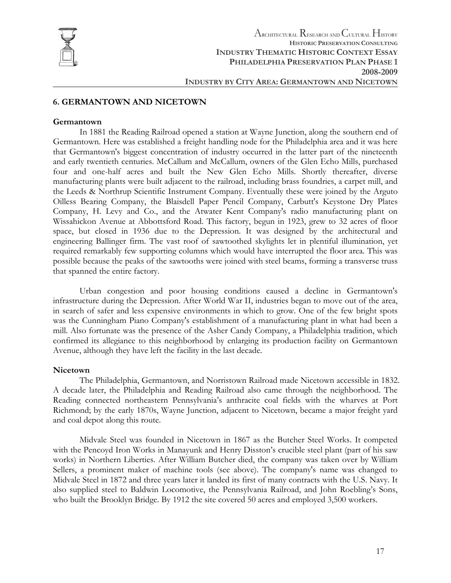

### **6. GERMANTOWN AND NICETOWN**

#### **Germantown**

In 1881 the Reading Railroad opened a station at Wayne Junction, along the southern end of Germantown. Here was established a freight handling node for the Philadelphia area and it was here that Germantown's biggest concentration of industry occurred in the latter part of the nineteenth and early twentieth centuries. McCallum and McCallum, owners of the Glen Echo Mills, purchased four and one-half acres and built the [New Glen Echo Mills](http://workshopoftheworld.com/germantown/glen_echo.html). Shortly thereafter, diverse manufacturing plants were built adjacent to the railroad, including brass foundries, a carpet mill, and the Leeds & Northrup Scientific Instrument Company. Eventually these were joined by the Arguto Oilless Bearing Company, the Blaisdell Paper Pencil Company, Carbutt's Keystone Dry Plates Company, H. Levy and Co., and the Atwater Kent Company's radio manufacturing plant on Wissahickon Avenue at Abbottsford Road. This factory, begun in 1923, grew to 32 acres of floor space, but closed in 1936 due to the Depression. It was designed by the architectural and engineering Ballinger firm. The vast roof of sawtoothed skylights let in plentiful illumination, yet required remarkably few supporting columns which would have interrupted the floor area. This was possible because the peaks of the sawtooths were joined with steel beams, forming a transverse truss that spanned the entire factory.

Urban congestion and poor housing conditions caused a decline in Germantown's infrastructure during the Depression. After World War II, industries began to move out of the area, in search of safer and less expensive environments in which to grow. One of the few bright spots was the Cunningham Piano Company's establishment of a manufacturing plant in what had been a mill. Also fortunate was the presence of the Asher Candy Company, a Philadelphia tradition, which confirmed its allegiance to this neighborhood by enlarging its production facility on Germantown Avenue, although they have left the facility in the last decade.

#### **Nicetown**

The Philadelphia, Germantown, and Norristown Railroad made Nicetown accessible in 1832. A decade later, the Philadelphia and Reading Railroad also came through the neighborhood. The Reading connected northeastern Pennsylvania's anthracite coal fields with the wharves at Port Richmond; by the early 1870s, Wayne Junction, adjacent to Nicetown, became a major freight yard and coal depot along this route.

Midvale Steel was founded in Nicetown in 1867 as the Butcher Steel Works. It competed with the Pencoyd Iron Works in Manayunk and Henry Disston's crucible steel plant (part of his saw works) in Northern Liberties. After William Butcher died, the company was taken over by William Sellers, a prominent maker of machine tools (see above). The company's name was changed to Midvale Steel in 1872 and three years later it landed its first of many contracts with the U.S. Navy. It also supplied steel to Baldwin Locomotive, the Pennsylvania Railroad, and John Roebling's Sons, who built the Brooklyn Bridge. By 1912 the site covered 50 acres and employed 3,500 workers.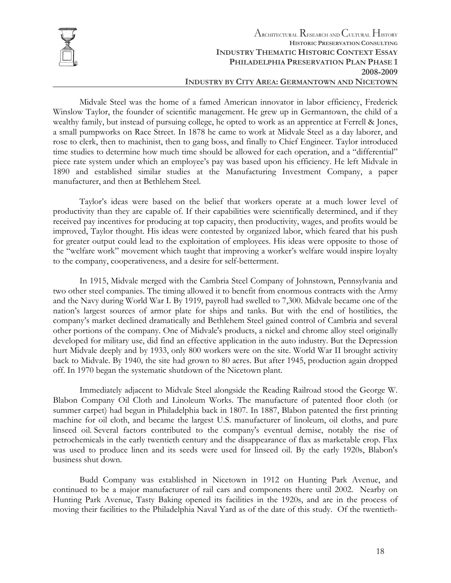

Midvale Steel was the home of a famed American innovator in labor efficiency, Frederick Winslow Taylor, the founder of scientific management. He grew up in Germantown, the child of a wealthy family, but instead of pursuing college, he opted to work as an apprentice at Ferrell & Jones, a small pumpworks on Race Street. In 1878 he came to work at Midvale Steel as a day laborer, and rose to clerk, then to machinist, then to gang boss, and finally to Chief Engineer. Taylor introduced time studies to determine how much time should be allowed for each operation, and a "differential" piece rate system under which an employee's pay was based upon his efficiency. He left Midvale in 1890 and established similar studies at the Manufacturing Investment Company, a paper manufacturer, and then at Bethlehem Steel.

Taylor's ideas were based on the belief that workers operate at a much lower level of productivity than they are capable of. If their capabilities were scientifically determined, and if they received pay incentives for producing at top capacity, then productivity, wages, and profits would be improved, Taylor thought. His ideas were contested by organized labor, which feared that his push for greater output could lead to the exploitation of employees. His ideas were opposite to those of the "welfare work" movement which taught that improving a worker's welfare would inspire loyalty to the company, cooperativeness, and a desire for self-betterment.

In 1915, Midvale merged with the Cambria Steel Company of Johnstown, Pennsylvania and two other steel companies. The timing allowed it to benefit from enormous contracts with the Army and the Navy during World War I. By 1919, payroll had swelled to 7,300. Midvale became one of the nation's largest sources of armor plate for ships and tanks. But with the end of hostilities, the company's market declined dramatically and Bethlehem Steel gained control of Cambria and several other portions of the company. One of Midvale's products, a nickel and chrome alloy steel originally developed for military use, did find an effective application in the auto industry. But the Depression hurt Midvale deeply and by 1933, only 800 workers were on the site. World War II brought activity back to Midvale. By 1940, the site had grown to 80 acres. But after 1945, production again dropped off. In 1970 began the systematic shutdown of the Nicetown plant.

Immediately adjacent to Midvale Steel alongside the Reading Railroad stood the George W. Blabon Company Oil Cloth and Linoleum Works. The manufacture of patented floor cloth (or summer carpet) had begun in Philadelphia back in 1807. In 1887, Blabon patented the first printing machine for oil cloth, and became the largest U.S. manufacturer of linoleum, oil cloths, and pure linseed oil. Several factors contributed to the company's eventual demise, notably the rise of petrochemicals in the early twentieth century and the disappearance of flax as marketable crop. Flax was used to produce linen and its seeds were used for linseed oil. By the early 1920s, Blabon's business shut down.

Budd Company was established in Nicetown in 1912 on Hunting Park Avenue, and continued to be a major manufacturer of rail cars and components there until 2002. Nearby on Hunting Park Avenue, Tasty Baking opened its facilities in the 1920s, and are in the process of moving their facilities to the Philadelphia Naval Yard as of the date of this study. Of the twentieth-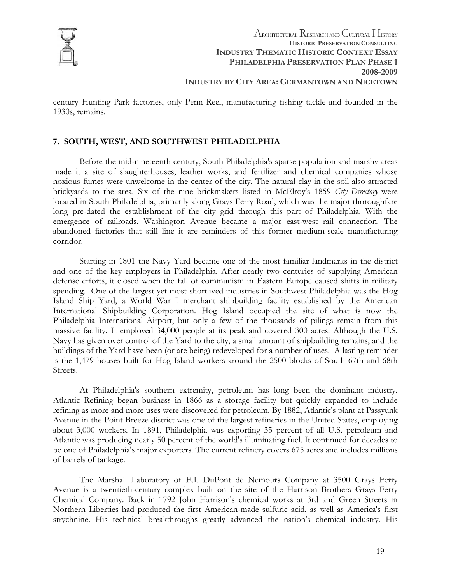

century Hunting Park factories, only Penn Reel, manufacturing fishing tackle and founded in the 1930s, remains.

# **7. SOUTH, WEST, AND SOUTHWEST PHILADELPHIA**

Before the mid-nineteenth century, South Philadelphia's sparse population and marshy areas made it a site of slaughterhouses, leather works, and fertilizer and chemical companies whose noxious fumes were unwelcome in the center of the city. The natural clay in the soil also attracted brickyards to the area. Six of the nine brickmakers listed in McElroy's 1859 *City Directory* were located in South Philadelphia, primarily along Grays Ferry Road, which was the major thoroughfare long pre-dated the establishment of the city grid through this part of Philadelphia. With the emergence of railroads, Washington Avenue became a major east-west rail connection. The abandoned factories that still line it are reminders of this former medium-scale manufacturing corridor.

Starting in 1801 the Navy Yard became one of the most familiar landmarks in the district and one of the key employers in Philadelphia. After nearly two centuries of supplying American defense efforts, it closed when the fall of communism in Eastern Europe caused shifts in military spending. One of the largest yet most shortlived industries in Southwest Philadelphia was the Hog Island Ship Yard, a World War I merchant shipbuilding facility established by the American International Shipbuilding Corporation. Hog Island occupied the site of what is now the Philadelphia International Airport, but only a few of the thousands of pilings remain from this massive facility. It employed 34,000 people at its peak and covered 300 acres. Although the U.S. Navy has given over control of the Yard to the city, a small amount of shipbuilding remains, and the buildings of the Yard have been (or are being) redeveloped for a number of uses. A lasting reminder is the 1,479 houses built for Hog Island workers around the 2500 blocks of South 67th and 68th Streets.

At Philadelphia's southern extremity, petroleum has long been the dominant industry. Atlantic Refining began business in 1866 as a storage facility but quickly expanded to include refining as more and more uses were discovered for petroleum. By 1882, Atlantic's plant at Passyunk Avenue in the Point Breeze district was one of the largest refineries in the United States, employing about 3,000 workers. In 1891, Philadelphia was exporting 35 percent of all U.S. petroleum and Atlantic was producing nearly 50 percent of the world's illuminating fuel. It continued for decades to be one of Philadelphia's major exporters. The current refinery covers 675 acres and includes millions of barrels of tankage.

The Marshall Laboratory of E.I. DuPont de Nemours Company at 3500 Grays Ferry Avenue is a twentieth-century complex built on the site of the Harrison Brothers Grays Ferry Chemical Company. Back in 1792 John Harrison's chemical works at 3rd and Green Streets in Northern Liberties had produced the first American-made sulfuric acid, as well as America's first strychnine. His technical breakthroughs greatly advanced the nation's chemical industry. His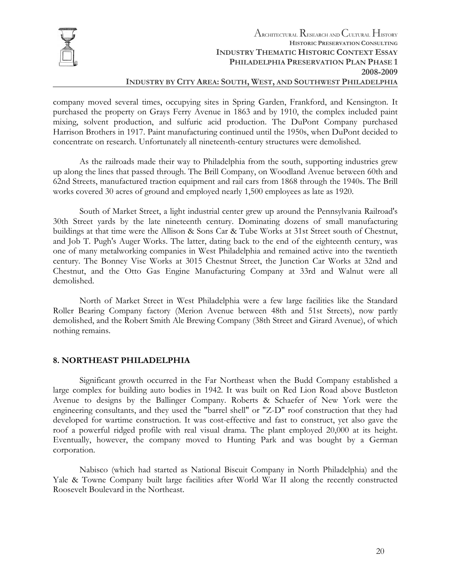

### **INDUSTRY BY CITY AREA: SOUTH, WEST, AND SOUTHWEST PHILADELPHIA**

company moved several times, occupying sites in Spring Garden, Frankford, and Kensington. It purchased the property on Grays Ferry Avenue in 1863 and by 1910, the complex included paint mixing, solvent production, and sulfuric acid production. The DuPont Company purchased Harrison Brothers in 1917. Paint manufacturing continued until the 1950s, when DuPont decided to concentrate on research. Unfortunately all nineteenth-century structures were demolished.

As the railroads made their way to Philadelphia from the south, supporting industries grew up along the lines that passed through. The Brill Company, on Woodland Avenue between 60th and 62nd Streets, manufactured traction equipment and rail cars from 1868 through the 1940s. The Brill works covered 30 acres of ground and employed nearly 1,500 employees as late as 1920.

South of Market Street, a light industrial center grew up around the Pennsylvania Railroad's 30th Street yards by the late nineteenth century. Dominating dozens of small manufacturing buildings at that time were the Allison & Sons Car & Tube Works at 31st Street south of Chestnut, and Job T. Pugh's Auger Works. The latter, dating back to the end of the eighteenth century, was one of many metalworking companies in West Philadelphia and remained active into the twentieth century. The Bonney Vise Works at 3015 Chestnut Street, the Junction Car Works at 32nd and Chestnut, and the Otto Gas Engine Manufacturing Company at 33rd and Walnut were all demolished.

North of Market Street in West Philadelphia were a few large facilities like the Standard Roller Bearing Company factory (Merion Avenue between 48th and 51st Streets), now partly demolished, and the Robert Smith Ale Brewing Company (38th Street and Girard Avenue), of which nothing remains.

#### **8. NORTHEAST PHILADELPHIA**

Significant growth occurred in the Far Northeast when the Budd Company established a large complex for building auto bodies in 1942. It was built on Red Lion Road above Bustleton Avenue to designs by the Ballinger Company. Roberts & Schaefer of New York were the engineering consultants, and they used the "barrel shell" or "Z-D" roof construction that they had developed for wartime construction. It was cost-effective and fast to construct, yet also gave the roof a powerful ridged profile with real visual drama. The plant employed 20,000 at its height. Eventually, however, the company moved to Hunting Park and was bought by a German corporation.

Nabisco (which had started as National Biscuit Company in North Philadelphia) and the Yale & Towne Company built large facilities after World War II along the recently constructed Roosevelt Boulevard in the Northeast.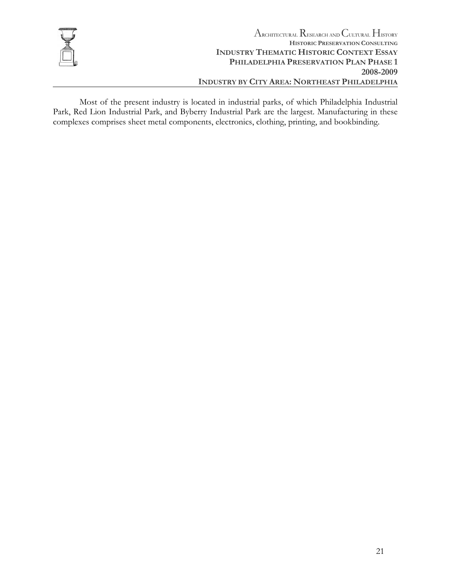

Most of the present industry is located in industrial parks, of which Philadelphia Industrial Park, Red Lion Industrial Park, and Byberry Industrial Park are the largest. Manufacturing in these complexes comprises sheet metal components, electronics, clothing, printing, and bookbinding.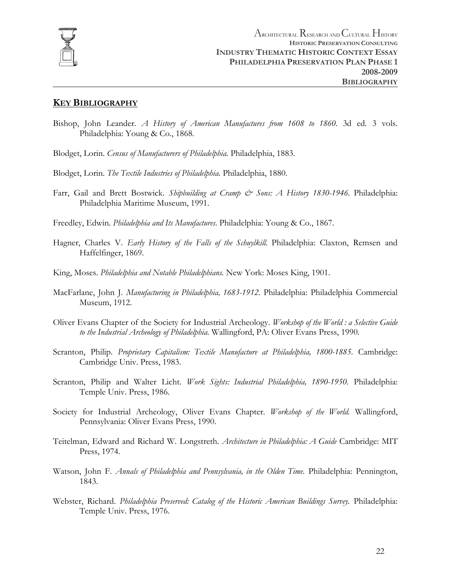

# **KEY BIBLIOGRAPHY**

- Bishop, John Leander. *A History of American Manufactures from 1608 to 1860.* 3d ed. 3 vols. Philadelphia: Young & Co., 1868.
- Blodget, Lorin. *Census of Manufacturers of Philadelphia.* Philadelphia, 1883.
- Blodget, Lorin. *The Textile Industries of Philadelphia.* Philadelphia, 1880.
- Farr, Gail and Brett Bostwick. *Shipbuilding at Cramp & Sons: A History 1830-1946.* Philadelphia: Philadelphia Maritime Museum, 1991.
- Freedley, Edwin. *Philadelphia and Its Manufactures*. Philadelphia: Young & Co., 1867.
- Hagner, Charles V. *Early History of the Falls of the Schuylkill*. Philadelphia: Claxton, Remsen and Haffelfinger, 1869.
- King, Moses. *Philadelphia and Notable Philadelphians.* New York: Moses King, 1901.
- MacFarlane, John J. *Manufacturing in Philadelphia, 1683-1912*. Philadelphia: Philadelphia Commercial Museum, 1912.
- Oliver Evans Chapter of the Society for Industrial Archeology. *Workshop of the World : a Selective Guide to the Industrial Archeology of Philadelphia.* Wallingford, PA: Oliver Evans Press, 1990.
- Scranton, Philip. *Proprietary Capitalism: Textile Manufacture at Philadelphia, 1800-1885.* Cambridge: Cambridge Univ. Press, 1983.
- Scranton, Philip and Walter Licht. *Work Sights: Industrial Philadelphia, 1890-1950.* Philadelphia: Temple Univ. Press, 1986.
- Society for Industrial Archeology, Oliver Evans Chapter. *Workshop of the World.* Wallingford, Pennsylvania: Oliver Evans Press, 1990.
- Teitelman, Edward and Richard W. Longstreth. *Architecture in Philadelphia: A Guide* Cambridge: MIT Press, 1974.
- Watson, John F. *Annals of Philadelphia and Pennsylvania, in the Olden Time.* Philadelphia: Pennington, 1843.
- Webster, Richard. *Philadelphia Preserved: Catalog of the Historic American Buildings Survey.* Philadelphia: Temple Univ. Press, 1976.